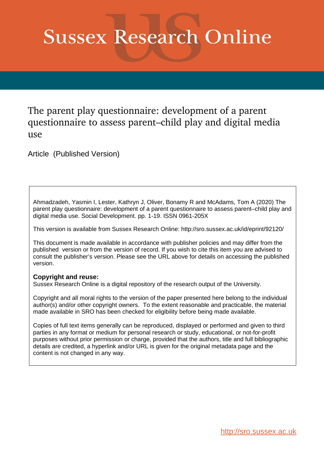# **Sussex Research Online**

The parent play questionnaire: development of a parent questionnaire to assess parent–child play and digital media use

Article (Published Version)

Ahmadzadeh, Yasmin I, Lester, Kathryn J, Oliver, Bonamy R and McAdams, Tom A (2020) The parent play questionnaire: development of a parent questionnaire to assess parent–child play and digital media use. Social Development. pp. 1-19. ISSN 0961-205X

This version is available from Sussex Research Online: http://sro.sussex.ac.uk/id/eprint/92120/

This document is made available in accordance with publisher policies and may differ from the published version or from the version of record. If you wish to cite this item you are advised to consult the publisher's version. Please see the URL above for details on accessing the published version.

# **Copyright and reuse:**

Sussex Research Online is a digital repository of the research output of the University.

Copyright and all moral rights to the version of the paper presented here belong to the individual author(s) and/or other copyright owners. To the extent reasonable and practicable, the material made available in SRO has been checked for eligibility before being made available.

Copies of full text items generally can be reproduced, displayed or performed and given to third parties in any format or medium for personal research or study, educational, or not-for-profit purposes without prior permission or charge, provided that the authors, title and full bibliographic details are credited, a hyperlink and/or URL is given for the original metadata page and the content is not changed in any way.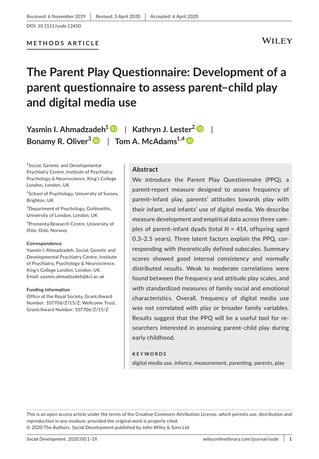# **The Parent Play Questionnaire: Development of a parent questionnaire to assess parent–child play and digital media use**

**Yasmin I. Ahmadzadeh[1](https://orcid.org/0000-0003-1333-1661)** | **Kathryn J. Lester[2](https://orcid.org/0000-0002-0853-2664)** | **Bonamy R. Oliver<sup>3</sup>** | **Tom A. McAdams1,4**

1 Social, Genetic and Developmental Psychiatry Centre, Institute of Psychiatry, Psychology & Neuroscience, King's College London, London, UK

<sup>2</sup>School of Psychology, University of Sussex, Brighton, UK

3 Department of Psychology, Goldsmiths, University of London, London, UK

4 Promenta Research Centre, University of Oslo, Oslo, Norway

#### **Correspondence**

Yasmin I. Ahmadzadeh, Social, Genetic and Developmental Psychiatry Centre, Institute of Psychiatry, Psychology & Neuroscience, King's College London, London, UK. Email: [yasmin.ahmadzadeh@kcl.ac.uk](mailto:yasmin.ahmadzadeh@kcl.ac.uk)

#### **Funding information**

Office of the Royal Society, Grant/Award Number: 107706/Z/15/Z; Wellcome Trust, Grant/Award Number: 107706/Z/15/Z

# **Abstract**

We introduce the Parent Play Questionnaire (PPQ), a parent-report measure designed to assess frequency of parent–infant play, parents' attitudes towards play with their infant, and infants' use of digital media. We describe measure development and empirical data across three samples of parent–infant dyads (total *N* = 414, offspring aged 0.3–2.5 years). Three latent factors explain the PPQ, corresponding with theoretically defined subscales. Summary scores showed good internal consistency and normally distributed results. Weak to moderate correlations were found between the frequency and attitude play scales, and with standardized measures of family social and emotional characteristics. Overall, frequency of digital media use was not correlated with play or broader family variables. Results suggest that the PPQ will be a useful tool for researchers interested in assessing parent–child play during early childhood.

#### **KEYWORDS**

digital media use, infancy, measurement, parenting, parents, play

This is an open access article under the terms of the [Creative Commons Attribution](http://creativecommons.org/licenses/by/4.0/) License, which permits use, distribution and reproduction in any medium, provided the original work is properly cited. © 2020 The Authors. Social Development published by John Wiley & Sons Ltd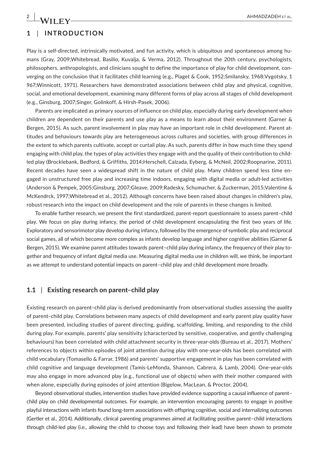# **1** | **INTRODUCTION**

Play is a self-directed, intrinsically motivated, and fun activity, which is ubiquitous and spontaneous among humans (Gray, 2009;Whitebread, Basilio, Kuvalja, & Verma, 2012). Throughout the 20th century, psychologists, philosophers, anthropologists, and clinicians sought to define the importance of play for child development, converging on the conclusion that it facilitates child learning (e.g., Piaget & Cook, 1952;Smilansky, 1968;Vygotsky, 1 967;Winnicott, 1971). Researchers have demonstrated associations between child play and physical, cognitive, social, and emotional development, examining many different forms of play across all stages of child development (e.g., Ginsburg, 2007;Singer, Golinkoff, & Hirsh-Pasek, 2006).

Parents are implicated as primary sources of influence on child play, especially during early development when children are dependent on their parents and use play as a means to learn about their environment (Garner & Bergen, 2015). As such, parent involvement in play may have an important role in child development. Parent attitudes and behaviours towards play are heterogeneous across cultures and societies, with group differences in the extent to which parents cultivate, accept or curtail play. As such, parents differ in how much time they spend engaging with child play, the types of play activities they engage with and the quality of their contribution to childled play (Brocklebank, Bedford, & Griffiths, 2014;Herschell, Calzada, Eyberg, & McNeil, 2002;Roopnarine, 2011). Recent decades have seen a widespread shift in the nature of child play. Many children spend less time engaged in unstructured free play and increasing time indoors, engaging with digital media or adult-led activities (Anderson & Pempek, 2005;Ginsburg, 2007;Gleave, 2009;Radesky, Schumacher, & Zuckerman, 2015;Valentine & McKendrck, 1997;Whitebread et al., 2012). Although concerns have been raised about changes in children's play, robust research into the impact on child development and the role of parents in these changes is limited.

To enable further research, we present the first standardized, parent-report questionnaire to assess parent–child play. We focus on play during infancy, the period of child development encapsulating the first two years of life. Exploratory and sensorimotor play develop during infancy, followed by the emergence of symbolic play and reciprocal social games, all of which become more complex as infants develop language and higher cognitive abilities (Garner & Bergen, 2015). We examine parent attitudes towards parent–child play during infancy, the frequency of their play together and frequency of infant digital media use. Measuring digital media use in children will, we think, be important as we attempt to understand potential impacts on parent–child play and child development more broadly.

# **1.1** | **Existing research on parent–child play**

Existing research on parent–child play is derived predominantly from observational studies assessing the *quality* of parent–child play. Correlations between many aspects of child development and early parent play quality have been presented, including studies of parent directing, guiding, scaffolding, limiting, and responding to the child during play. For example, parents' play sensitivity (characterized by sensitive, cooperative, and gently challenging behaviours) has been correlated with child attachment security in three-year-olds (Bureau et al., 2017). Mothers' references to objects within episodes of joint attention during play with one-year-olds has been correlated with child vocabulary (Tomasello & Farrar, 1986) and parents' supportive engagement in play has been correlated with child cognitive and language development (Tamis-LeMonda, Shannon, Cabrera, & Lamb, 2004). One-year-olds may also engage in more advanced play (e.g., functional use of objects) when with their mother compared with when alone, especially during episodes of joint attention (Bigelow, MacLean, & Proctor, 2004).

Beyond observational studies, intervention studies have provided evidence supporting a causal influence of parent– child play on child developmental outcomes. For example, an intervention encouraging parents to engage in positive playful interactions with infants found long-term associations with offspring cognitive, social and internalizing outcomes (Gertler et al., 2014). Additionally, clinical parenting programmes aimed at facilitating positive parent–child interactions through child-led play (i.e., allowing the child to choose toys and following their lead) have been shown to promote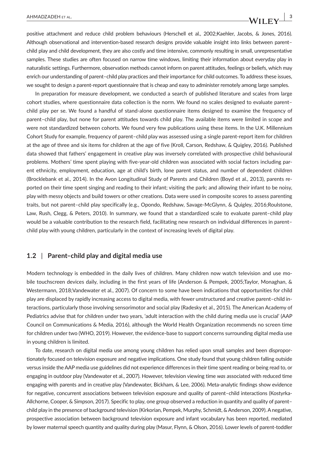positive attachment and reduce child problem behaviours (Herschell et al., 2002;Kaehler, Jacobs, & Jones, 2016). Although observational and intervention-based research designs provide valuable insight into links between parent– child play and child development, they are also costly and time intensive, commonly resulting in small, unrepresentative samples. These studies are often focused on narrow time windows, limiting their information about everyday play in naturalistic settings. Furthermore, observation methods cannot inform on parent attitudes, feelings or beliefs, which may enrich our understanding of parent–child play practices and their importance for child outcomes. To address these issues, we sought to design a parent-report questionnaire that is cheap and easy to administer remotely among large samples.

In preparation for measure development, we conducted a search of published literature and scales from large cohort studies, where questionnaire data collection is the norm. We found no scales designed to evaluate parent– child play per se. We found a handful of stand-alone questionnaire items designed to examine the frequency of parent–child play, but none for parent attitudes towards child play. The available items were limited in scope and were not standardized between cohorts. We found very few publications using these items. In the U.K. Millennium Cohort Study for example, frequency of parent–child play was assessed using a single parent-report item for children at the age of three and six items for children at the age of five (Kroll, Carson, Redshaw, & Quigley, 2016). Published data showed that fathers' engagement in creative play was inversely correlated with prospective child behavioural problems. Mothers' time spent playing with five-year-old children was associated with social factors including parent ethnicity, employment, education, age at child's birth, lone parent status, and number of dependent children (Brocklebank et al., 2014). In the Avon Longitudinal Study of Parents and Children (Boyd et al., 2013), parents reported on their time spent singing and reading to their infant; visiting the park; and allowing their infant to be noisy, play with messy objects and build towers or other creations. Data were used in composite scores to assess parenting traits, but not parent–child play specifically (e.g., Opondo, Redshaw, Savage-McGlynn, & Quigley, 2016;Roulstone, Law, Rush, Clegg, & Peters, 2010). In summary, we found that a standardized scale to evaluate parent–child play would be a valuable contribution to the research field, facilitating new research on individual differences in parent– child play with young children, particularly in the context of increasing levels of digital play.

# **1.2** | **Parent–child play and digital media use**

Modern technology is embedded in the daily lives of children. Many children now watch television and use mobile touchscreen devices daily, including in the first years of life (Anderson & Pempek, 2005;Taylor, Monaghan, & Westermann, 2018;Vandewater et al., 2007). Of concern to some have been indications that opportunities for child play are displaced by rapidly increasing access to digital media, with fewer unstructured and creative parent–child interactions, particularly those involving sensorimotor and social play (Radesky et al., 2015). The American Academy of Pediatrics advise that for children under two years, 'adult interaction with the child during media use is crucial' (AAP Council on Communications & Media, 2016), although the World Health Organization recommends no screen time for children under two (WHO, 2019). However, the evidence-base to support concerns surrounding digital media use in young children is limited.

To date, research on digital media use among young children has relied upon small samples and been disproportionately focused on television exposure and negative implications. One study found that young children falling outside versus inside the AAP media use guidelines did not experience differences in their time spent reading or being read to, or engaging in outdoor play (Vandewater et al., 2007). However, television viewing time *was* associated with reduced time engaging with parents and in creative play (Vandewater, Bickham, & Lee, 2006). Meta-analytic findings show evidence for negative, concurrent associations between television exposure and quality of parent–child interactions (Kostyrka-Allchorne, Cooper, & Simpson, 2017). Specific to play, one group observed a reduction in quantity and quality of parent– child play in the presence of background television (Kirkorian, Pempek, Murphy, Schmidt, & Anderson, 2009). A negative, prospective association between background television exposure and infant vocabulary has been reported, mediated by lower maternal speech quantity and quality during play (Masur, Flynn, & Olson, 2016). Lower levels of parent-toddler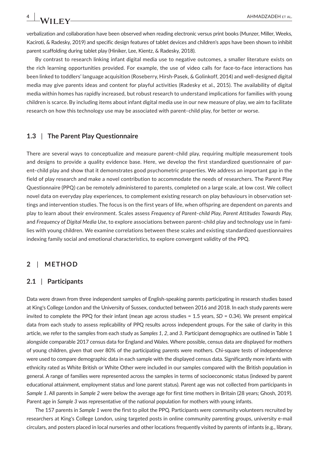verbalization and collaboration have been observed when reading electronic versus print books (Munzer, Miller, Weeks, Kaciroti, & Radesky, 2019) and specific design features of tablet devices and children's apps have been shown to inhibit parent scaffolding during tablet play (Hiniker, Lee, Kientz, & Radesky, 2018).

By contrast to research linking infant digital media use to negative outcomes, a smaller literature exists on the rich learning opportunities provided. For example, the use of video calls for face-to-face interactions has been linked to toddlers' language acquisition (Roseberry, Hirsh-Pasek, & Golinkoff, 2014) and well-designed digital media may give parents ideas and content for playful activities (Radesky et al., 2015). The availability of digital media within homes has rapidly increased, but robust research to understand implications for families with young children is scarce. By including items about infant digital media use in our new measure of play, we aim to facilitate research on how this technology use may be associated with parent–child play, for better or worse.

# **1.3** | **The Parent Play Questionnaire**

There are several ways to conceptualize and measure parent–child play, requiring multiple measurement tools and designs to provide a quality evidence base. Here, we develop the first standardized questionnaire of parent–child play and show that it demonstrates good psychometric properties. We address an important gap in the field of play research and make a novel contribution to accommodate the needs of researchers. The Parent Play Questionnaire (PPQ) can be remotely administered to parents, completed on a large scale, at low cost. We collect novel data on everyday play experiences, to complement existing research on play behaviours in observation settings and intervention studies. The focus is on the first years of life, when offspring are dependent on parents and play to learn about their environment. Scales assess *Frequency of Parent–child Play*, *Parent Attitudes Towards Play,* and *Frequency of Digital Media Use*, to explore associations between parent–child play and technology use in families with young children. We examine correlations between these scales and existing standardized questionnaires indexing family social and emotional characteristics, to explore convergent validity of the PPQ.

# **2** | **METHOD**

# **2.1** | **Participants**

Data were drawn from three independent samples of English-speaking parents participating in research studies based at King's College London and the University of Sussex, conducted between 2016 and 2018. In each study parents were invited to complete the PPQ for their infant (mean age across studies = 1.5 years, *SD* = 0.34). We present empirical data from each study to assess replicability of PPQ results across independent groups. For the sake of clarity in this article, we refer to the samples from each study as *Samples 1*, *2*, and *3.* Participant demographics are outlined in Table 1 alongside comparable 2017 census data for England and Wales. Where possible, census data are displayed for mothers of young children, given that over 80% of the participating parents were mothers. Chi-square tests of independence were used to compare demographic data in each sample with the displayed census data. Significantly more infants with ethnicity rated as White British or White Other were included in our samples compared with the British population in general. A range of families were represented across the samples in terms of socioeconomic status (indexed by parent educational attainment, employment status and lone parent status). Parent age was not collected from participants in *Sample 1*. All parents in *Sample 2* were below the average age for first time mothers in Britain (28 years; Ghosh, 2019). Parent age in *Sample 3* was representative of the national population for mothers with young infants.

The 157 parents in *Sample 1* were the first to pilot the PPQ. Participants were community volunteers recruited by researchers at King's College London, using targeted posts in online community parenting groups, university e-mail circulars, and posters placed in local nurseries and other locations frequently visited by parents of infants (e.g., library,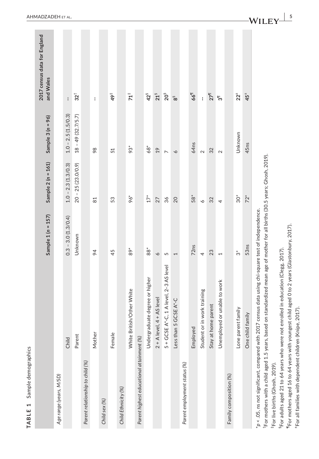| <b>TABLE 1</b> Sample demographics                                                            |                                                                                                                                                                                                                                                                        |                      |                                       |                      |                                           |
|-----------------------------------------------------------------------------------------------|------------------------------------------------------------------------------------------------------------------------------------------------------------------------------------------------------------------------------------------------------------------------|----------------------|---------------------------------------|----------------------|-------------------------------------------|
|                                                                                               |                                                                                                                                                                                                                                                                        | Sample $1(n = 157)$  | Sample $2(n = 161)$                   | Sample $3(n = 96)$   | 2017 census data for England<br>and Wales |
| Age range (years, M/SD)                                                                       |                                                                                                                                                                                                                                                                        |                      |                                       |                      |                                           |
|                                                                                               | Child                                                                                                                                                                                                                                                                  | $0.3 - 3.0(1.3/0.4)$ | $1.0 - 2.3(1.3/0.3)$                  | $1.0 - 2.5(1.5/0.3)$ | ł                                         |
|                                                                                               | Parent                                                                                                                                                                                                                                                                 | Unknown              | $20 - 25(23.0/0.9)$                   | $18 - 49(32.7/5.7)$  | $32^{\dagger}$                            |
| Parent relationship to child (%)                                                              |                                                                                                                                                                                                                                                                        |                      |                                       |                      |                                           |
|                                                                                               | Mother                                                                                                                                                                                                                                                                 | $\overline{6}$       | 81                                    | 98                   | ł                                         |
| Child sex (%)                                                                                 |                                                                                                                                                                                                                                                                        |                      |                                       |                      |                                           |
|                                                                                               | Female                                                                                                                                                                                                                                                                 | 45                   | 53                                    | 51                   | $\ddot{\phi}^{\ddagger}$                  |
| Child Ethnicity (%)                                                                           |                                                                                                                                                                                                                                                                        |                      |                                       |                      |                                           |
|                                                                                               | White British/Other White                                                                                                                                                                                                                                              | $89*$                | 96*                                   | $93*$                | $71+$                                     |
| Parent highest educational attainment (%)                                                     |                                                                                                                                                                                                                                                                        |                      |                                       |                      |                                           |
|                                                                                               | Undergraduate degree or higher                                                                                                                                                                                                                                         | 88                   | $17*$                                 | $68$ <sup>*</sup>    | $42^{\frac{5}{3}}$                        |
|                                                                                               | $2 + A$ level, $4 + AS$ level                                                                                                                                                                                                                                          | $\circ$              | 27                                    | $\overline{19}$      | $21^{\frac{5}{3}}$                        |
|                                                                                               | $5 + GCSE A^* - C$ , 1 A level, 2-3 AS level                                                                                                                                                                                                                           | 5                    | 36                                    | $\overline{ }$       | 20 <sup>5</sup>                           |
|                                                                                               | Less than 5 GCSE A*-C                                                                                                                                                                                                                                                  | 1                    | 20                                    | $\circ$              | ౚ                                         |
| Parent employment status (%)                                                                  |                                                                                                                                                                                                                                                                        |                      |                                       |                      |                                           |
|                                                                                               | Employed                                                                                                                                                                                                                                                               | 72ns                 | 58*                                   | 64ns                 | 661                                       |
|                                                                                               | in work training<br>Student or                                                                                                                                                                                                                                         | 4                    | $\breve{\phantom{0}}$                 | $\sim$               | ł                                         |
|                                                                                               | Stay at home parent                                                                                                                                                                                                                                                    | 23                   | 32                                    | 32                   | $27^{\frac{1}{1}}$                        |
|                                                                                               | Unemployed or unable to work                                                                                                                                                                                                                                           | $\overline{ }$       | 4                                     | $\sim$               | ్గా                                       |
| Family composition (%)                                                                        |                                                                                                                                                                                                                                                                        |                      |                                       |                      |                                           |
|                                                                                               | Lone parent family                                                                                                                                                                                                                                                     | ້ຕ                   | $\overset{*}{\mathcal{S}}\mathcal{O}$ | Unknown              | $22^{\pm}$                                |
|                                                                                               | One child family                                                                                                                                                                                                                                                       | 53 <sub>ns</sub>     | $72*$                                 | 45ns                 | $45^{\pm}$                                |
| For mothers with a child aged 1.5 years, based<br><sup>‡</sup> For live births (Ghosh, 2019). | on standardized mean age of mother for all births (30.5 years; Ghosh, 2019).<br>p < .05, ns not significant, compared with 2017 census data using chi-square test of independence.<br>For adults aged 21 to 64 years who were not enrolled in education (Clegg, 2017). |                      |                                       |                      |                                           |
|                                                                                               | "For mothers aged 16 to 64 years with youngest child aged 0 to 2 years (Glastonbury, 2017)                                                                                                                                                                             |                      |                                       |                      |                                           |

<sup>\*</sup>For all families with dependent children (Knipe, 2017). ±For all families with dependent children (Knipe, 2017).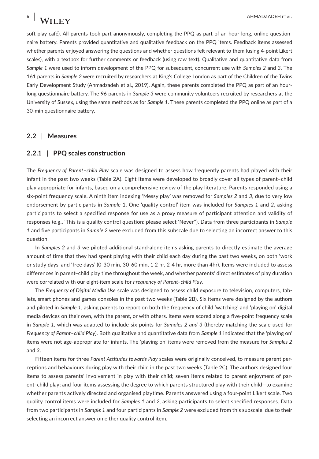soft play café). All parents took part anonymously, completing the PPQ as part of an hour-long, online questionnaire battery. Parents provided quantitative and qualitative feedback on the PPQ items. Feedback items assessed whether parents enjoyed answering the questions and whether questions felt relevant to them (using 4-point Likert scales), with a textbox for further comments or feedback (using raw text). Qualitative and quantitative data from *Sample 1* were used to inform development of the PPQ for subsequent, concurrent use with *Samples 2* and *3*. The 161 parents in *Sample 2* were recruited by researchers at King's College London as part of the Children of the Twins Early Development Study (Ahmadzadeh et al., 2019). Again, these parents completed the PPQ as part of an hourlong questionnaire battery. The 96 parents in *Sample 3* were community volunteers recruited by researchers at the University of Sussex, using the same methods as for *Sample 1*. These parents completed the PPQ online as part of a 30-min questionnaire battery.

#### **2.2** | **Measures**

#### **2.2.1** | **PPQ scales construction**

The *Frequency of Parent–child Play* scale was designed to assess how frequently parents had played with their infant in the past two weeks (Table 2A). Eight items were developed to broadly cover all types of parent–child play appropriate for infants, based on a comprehensive review of the play literature. Parents responded using a six-point frequency scale. A ninth item indexing 'Messy play' was removed for *Samples 2* and *3*, due to very low endorsement by participants in *Sample* 1. One 'quality control' item was included for *Samples 1* and *2*, asking participants to select a specified response for use as a proxy measure of participant attention and validity of responses (e.g., 'This is a quality control question: please select 'Never''). Data from three participants in *Sample 1* and five participants in *Sample 2* were excluded from this subscale due to selecting an incorrect answer to this question.

In *Samples 2* and *3* we piloted additional stand-alone items asking parents to directly estimate the average amount of time that they had spent playing with their child each day during the past two weeks, on both 'work or study days' and 'free days' (0-30 min, 30-60 min, 1-2 hr, 2-4 hr, more than 4hr). Items were included to assess differences in parent–child play time throughout the week, and whether parents' direct estimates of play duration were correlated with our eight-item scale for *Frequency of Parent–child Play*.

The *Frequency of Digital Media Use* scale was designed to assess child exposure to television, computers, tablets, smart phones and games consoles in the past two weeks (Table 2B). Six items were designed by the authors and piloted in *Sample 1*, asking parents to report on both the frequency of child 'watching' and 'playing on' digital media devices on their own, with the parent, or with others. Items were scored along a five-point frequency scale in *Sample 1*, which was adapted to include six points for *Samples 2 and 3* (thereby matching the scale used for *Frequency of Parent–child Play*). Both qualitative and quantitative data from *Sample 1* indicated that the 'playing on' items were not age-appropriate for infants. The 'playing on' items were removed from the measure for *Samples 2* and *3*.

Fifteen items for three *Parent Attitudes towards Play* scales were originally conceived, to measure parent perceptions and behaviours during play with their child in the past two weeks (Table 2C). The authors designed four items to assess parents' involvement in play with their child; seven items related to parent enjoyment of parent–child play; and four items assessing the degree to which parents structured play with their child—to examine whether parents actively directed and organised playtime. Parents answered using a four-point Likert scale. Two quality control items were included for *Samples 1* and *2*, asking participants to select specified responses. Data from two participants in *Sample 1* and four participants in *Sample 2* were excluded from this subscale, due to their selecting an incorrect answer on either quality control item.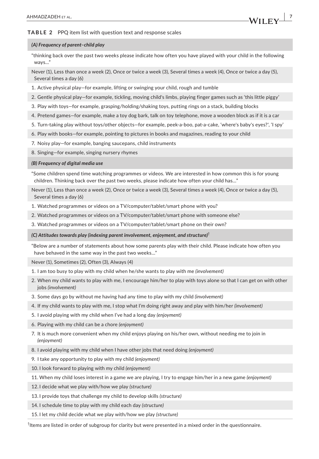# **TABLE 2** PPQ item list with question text and response scales

#### *(A) Frequency of parent–child play*

"thinking back over the past two weeks please indicate how often you have played with your child in the following ways..."

Never (1), Less than once a week (2), Once or twice a week (3), Several times a week (4), Once or twice a day (5), Several times a day (6)

- 1. Active physical play—for example, lifting or swinging your child, rough and tumble
- 2. Gentle physical play—for example, tickling, moving child's limbs, playing finger games such as 'this little piggy'
- 3. Play with toys—for example, grasping/holding/shaking toys, putting rings on a stack, building blocks
- 4. Pretend games—for example, make a toy dog bark, talk on toy telephone, move a wooden block as if it is a car
- 5. Turn-taking play without toys/other objects—for example, peek-a-boo, pat-a-cake, 'where's baby's eyes?', 'I spy'
- 6. Play with books—for example, pointing to pictures in books and magazines, reading to your child
- 7. Noisy play—for example, banging saucepans, child instruments
- 8. Singing—for example, singing nursery rhymes

#### *(B) Frequency of digital media use*

"Some children spend time watching programmes or videos. We are interested in how common this is for young children. Thinking back over the past two weeks, please indicate how often your child has…"

Never (1), Less than once a week (2), Once or twice a week (3), Several times a week (4), Once or twice a day (5), Several times a day (6)

- 1. Watched programmes or videos on a TV/computer/tablet/smart phone with you?
- 2. Watched programmes or videos on a TV/computer/tablet/smart phone with someone else?
- 3. Watched programmes or videos on a TV/computer/tablet/smart phone on their own?

*(C) Attitudes towards play (indexing parent involvement, enjoyment, and structure)*†

"Below are a number of statements about how some parents play with their child. Please indicate how often you have behaved in the same way in the past two weeks…"

Never (1), Sometimes (2), Often (3), Always (4)

- 1. I am too busy to play with my child when he/she wants to play with me *(involvement)*
- 2. When my child wants to play with me, I encourage him/her to play with toys alone so that I can get on with other jobs *(involvement)*
- 3. Some days go by without me having had any time to play with my child *(involvement)*
- 4. If my child wants to play with me, I stop what I'm doing right away and play with him/her *(involvement)*
- 5. I avoid playing with my child when I've had a long day *(enjoyment)*
- 6. Playing with my child can be a chore *(enjoyment)*
- 7. It is much more convenient when my child enjoys playing on his/her own, without needing me to join in *(enjoyment)*
- 8. I avoid playing with my child when I have other jobs that need doing *(enjoyment)*
- 9. I take any opportunity to play with my child *(enjoyment)*
- 10. I look forward to playing with my child *(enjoyment)*
- 11. When my child loses interest in a game we are playing, I try to engage him/her in a new game *(enjoyment)*
- 12. I decide what we play with/how we play *(structure)*
- 13. I provide toys that challenge my child to develop skills *(structure)*
- 14. I schedule time to play with my child each day *(structure)*
- 15. I let my child decide what we play with/how we play *(structure)*

† Items are listed in order of subgroup for clarity but were presented in a mixed order in the questionnaire.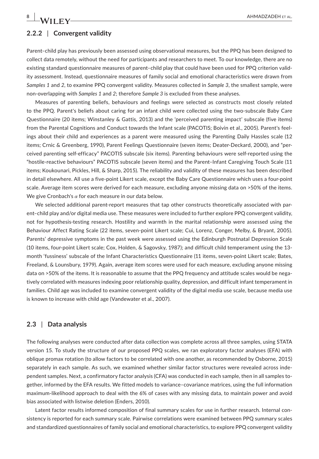# **2.2.2** | **Convergent validity**

Parent–child play has previously been assessed using observational measures, but the PPQ has been designed to collect data remotely, without the need for participants and researchers to meet. To our knowledge, there are no existing standard questionnaire measures of parent–child play that could have been used for PPQ criterion validity assessment. Instead, questionnaire measures of family social and emotional characteristics were drawn from *Samples 1* and *2*, to examine PPQ convergent validity. Measures collected in *Sample 3*, the smallest sample, were non-overlapping with *Samples 1* and *2*; therefore *Sample 3* is excluded from these analyses.

Measures of parenting beliefs, behaviours and feelings were selected as constructs most closely related to the PPQ. Parent's beliefs about caring for an infant child were collected using the two-subscale Baby Care Questionnaire (20 items; Winstanley & Gattis, 2013) and the 'perceived parenting impact' subscale (five items) from the Parental Cognitions and Conduct towards the Infant scale (PACOTIS; Boivin et al., 2005). Parent's feelings about their child and experiences as a parent were measured using the Parenting Daily Hassles scale (12 items; Crnic & Greenberg, 1990), Parent Feelings Questionnaire (seven items; Deater-Deckard, 2000), and "perceived parenting self-efficacy" PACOTIS subscale (six items). Parenting behaviours were self-reported using the "hostile-reactive behaviours" PACOTIS subscale (seven items) and the Parent–Infant Caregiving Touch Scale (11 items; Koukounari, Pickles, Hill, & Sharp, 2015). The reliability and validity of these measures has been described in detail elsewhere. All use a five-point Likert scale, except the Baby Care Questionnaire which uses a four-point scale. Average item scores were derived for each measure, excluding anyone missing data on >50% of the items. We give Cronbach's *α* for each measure in our data below.

We selected additional parent-report measures that tap other constructs theoretically associated with parent–child play and/or digital media use. These measures were included to further explore PPQ convergent validity, not for hypothesis-testing research. Hostility and warmth in the marital relationship were assessed using the Behaviour Affect Rating Scale (22 items, seven-point Likert scale; Cui, Lorenz, Conger, Melby, & Bryant, 2005). Parents' depressive symptoms in the past week were assessed using the Edinburgh Postnatal Depression Scale (10 items, four-point Likert scale; Cox, Holden, & Sagovsky, 1987); and difficult child temperament using the 13 month 'fussiness' subscale of the Infant Characteristics Questionnaire (11 items, seven-point Likert scale; Bates, Freeland, & Lounsbury, 1979). Again, average item scores were used for each measure, excluding anyone missing data on >50% of the items. It is reasonable to assume that the PPQ frequency and attitude scales would be negatively correlated with measures indexing poor relationship quality, depression, and difficult infant temperament in families. Child age was included to examine convergent validity of the digital media use scale, because media use is known to increase with child age (Vandewater et al., 2007).

# **2.3** | **Data analysis**

The following analyses were conducted after data collection was complete across all three samples, using STATA version 15. To study the structure of our proposed PPQ scales, we ran exploratory factor analyses (EFA) with oblique promax rotation (to allow factors to be correlated with one another, as recommended by Osborne, 2015) separately in each sample. As such, we examined whether similar factor structures were revealed across independent samples. Next, a confirmatory factor analysis (CFA) was conducted in each sample, then in all samples together, informed by the EFA results. We fitted models to variance–covariance matrices, using the full information maximum-likelihood approach to deal with the 6% of cases with any missing data, to maintain power and avoid bias associated with listwise deletion (Enders, 2010).

Latent factor results informed composition of final summary scales for use in further research. Internal consistency is reported for each summary scale. Pairwise correlations were examined between PPQ summary scales and standardized questionnaires of family social and emotional characteristics, to explore PPQ convergent validity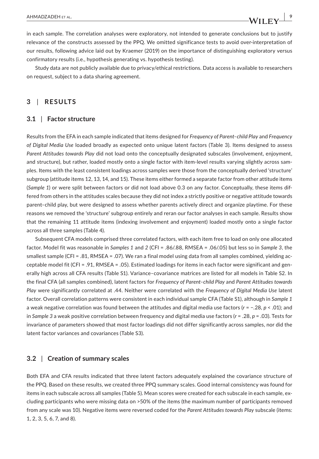in each sample. The correlation analyses were exploratory, not intended to generate conclusions but to justify relevance of the constructs assessed by the PPQ. We omitted significance tests to avoid over-interpretation of our results, following advice laid out by Kraemer (2019) on the importance of distinguishing exploratory versus confirmatory results (i.e., hypothesis generating vs. hypothesis testing).

Study data are not publicly available due to privacy/ethical restrictions. Data access is available to researchers on request, subject to a data sharing agreement.

# **3** | **RESULTS**

# **3.1** | **Factor structure**

Results from the EFA in each sample indicated that items designed for *Frequency of Parent–child Play* and *Frequency of Digital Media Use* loaded broadly as expected onto unique latent factors (Table 3). Items designed to assess *Parent Attitudes towards Play* did not load onto the conceptually designated subscales (involvement, enjoyment, and structure), but rather, loaded mostly onto a single factor with item-level results varying slightly across samples. Items with the least consistent loadings across samples were those from the conceptually derived 'structure' subgroup (attitude items 12, 13, 14, and 15). These items either formed a separate factor from other attitude items (*Sample 1*) or were split between factors or did not load above 0.3 on any factor. Conceptually, these items differed from others in the attitudes scales because they did not index a strictly positive or negative attitude towards parent–child play, but were designed to assess whether parents actively direct and organize playtime. For these reasons we removed the 'structure' subgroup entirely and reran our factor analyses in each sample. Results show that the remaining 11 attitude items (indexing involvement and enjoyment) loaded mostly onto a single factor across all three samples (Table 4).

Subsequent CFA models comprised three correlated factors, with each item free to load on only one allocated factor. Model fit was reasonable in *Samples 1* and *2* (CFI = .86/.88, RMSEA = .06/.05) but less so in *Sample 3*, the smallest sample (CFI = .81, RMSEA = .07). We ran a final model using data from all samples combined, yielding acceptable model fit (CFI = .91, RMSEA = .05). Estimated loadings for items in each factor were significant and generally high across all CFA results (Table S1). Variance–covariance matrices are listed for all models in Table S2. In the final CFA (all samples combined), latent factors for *Frequency of Parent–child Play* and *Parent Attitudes towards Play* were significantly correlated at .44. Neither were correlated with the *Frequency of Digital Media Use* latent factor. Overall correlation patterns were consistent in each individual sample CFA (Table S1), although in *Sample 1* a weak negative correlation was found between the attitudes and digital media use factors (*r* = −.28, *p* < .01); and in *Sample 3* a weak positive correlation between frequency and digital media use factors (*r* = .28, *p* = .03). Tests for invariance of parameters showed that most factor loadings did not differ significantly across samples, nor did the latent factor variances and covariances (Table S3).

# **3.2** | **Creation of summary scales**

Both EFA and CFA results indicated that three latent factors adequately explained the covariance structure of the PPQ. Based on these results, we created three PPQ summary scales. Good internal consistency was found for items in each subscale across all samples (Table 5). Mean scores were created for each subscale in each sample, excluding participants who were missing data on >50% of the items (the maximum number of participants removed from any scale was 10). Negative items were reversed coded for the *Parent Attitudes towards Play* subscale (items: 1, 2, 3, 5, 6, 7, and 8).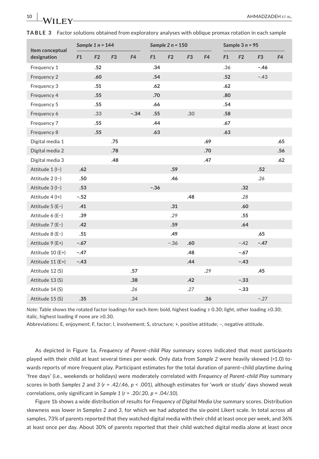| Item conceptual   | Sample 1 $n = 144$ |                |                | Sample $2 n = 150$ |        |                | Sample $3n = 95$ |                |     |                |                |                |
|-------------------|--------------------|----------------|----------------|--------------------|--------|----------------|------------------|----------------|-----|----------------|----------------|----------------|
| designation       | F1                 | F <sub>2</sub> | F <sub>3</sub> | F <sub>4</sub>     | F1     | F <sub>2</sub> | F <sub>3</sub>   | F <sub>4</sub> | F1  | F <sub>2</sub> | F <sub>3</sub> | F <sub>4</sub> |
| Frequency 1       |                    | .52            |                |                    | .34    |                |                  |                | .36 |                | $-.46$         |                |
| Frequency 2       |                    | .60            |                |                    | .54    |                |                  |                | .52 |                | $-.43$         |                |
| Frequency 3       |                    | .51            |                |                    | .62    |                |                  |                | .62 |                |                |                |
| Frequency 4       |                    | .55            |                |                    | .70    |                |                  |                | .80 |                |                |                |
| Frequency 5       |                    | .55            |                |                    | .66    |                |                  |                | .54 |                |                |                |
| Frequency 6       |                    | .33            |                | $-.34$             | .55    |                | .30              |                | .58 |                |                |                |
| Frequency 7       |                    | .55            |                |                    | .44    |                |                  |                | .67 |                |                |                |
| Frequency 8       |                    | .55            |                |                    | .63    |                |                  |                | .63 |                |                |                |
| Digital media 1   |                    |                | .75            |                    |        |                |                  | .69            |     |                |                | .65            |
| Digital media 2   |                    |                | .78            |                    |        |                |                  | .70            |     |                |                | .56            |
| Digital media 3   |                    |                | .48            |                    |        |                |                  | .47            |     |                |                | .62            |
| Attitude $1 (I-)$ | .62                |                |                |                    |        | .59            |                  |                |     |                | .52            |                |
| Attitude 2 (I-)   | .50                |                |                |                    |        | .46            |                  |                |     |                | .26            |                |
| Attitude 3 (I-)   | .53                |                |                |                    | $-.36$ |                |                  |                |     | .32            |                |                |
| Attitude 4 (I+)   | $-.52$             |                |                |                    |        |                | .48              |                |     | .28            |                |                |
| Attitude 5 (E-)   | .41                |                |                |                    |        | .31            |                  |                |     | .60            |                |                |
| Attitude 6 (E-)   | .39                |                |                |                    |        | .29            |                  |                |     | .55            |                |                |
| Attitude 7 (E-)   | .42                |                |                |                    |        | .59            |                  |                |     | .64            |                |                |
| Attitude 8 (E-)   | .51                |                |                |                    |        | .49            |                  |                |     |                | .65            |                |
| Attitude 9 (E+)   | $-.67$             |                |                |                    |        | $-.36$         | .60              |                |     | $-.42$         | $-.47$         |                |
| Attitude 10 (E+)  | $-.47$             |                |                |                    |        |                | .48              |                |     | $-.67$         |                |                |
| Attitude 11 (E+)  | $-.43$             |                |                |                    |        |                | .44              |                |     | $-.43$         |                |                |
| Attitude 12 (S)   |                    |                |                | .57                |        |                |                  | .29            |     |                | .45            |                |
| Attitude 13 (S)   |                    |                |                | .38                |        |                | .42              |                |     | $-.33$         |                |                |
| Attitude 14 (S)   |                    |                |                | .26                |        |                | .27              |                |     | $-.33$         |                |                |
| Attitude 15 (S)   | .35                |                |                | .34                |        |                |                  | .36            |     |                | $-.27$         |                |

|  | TABLE 3 Factor solutions obtained from exploratory analyses with oblique promax rotation in each sample |  |  |  |  |
|--|---------------------------------------------------------------------------------------------------------|--|--|--|--|
|--|---------------------------------------------------------------------------------------------------------|--|--|--|--|

*Note:* Table shows the rotated factor loadings for each item: bold, highest loading ≥ 0.30; light, other loading ≥0.30; italic, highest loading if none are ≥0.30.

Abbreviations: E, enjoyment; F, factor; I, involvement; S, structure; +, positive attitude; −, negative attitude.

As depicted in Figure 1a, *Frequency of Parent–child Play* summary scores indicated that most participants played with their child at least several times per week. Only data from *Sample 2* were heavily skewed (>1.0) towards reports of more frequent play. Participant estimates for the total duration of parent–child playtime during 'free days' (i.e., weekends or holidays) were moderately correlated with *Frequency of Parent–child Play* summary scores in both *Samples 2* and *3* (*r* = .42/.46, *p* < .001), although estimates for 'work or study' days showed weak correlations, only significant in *Sample 1* (*r* = .20/.20, *p* = .04/.10).

Figure 1b shows a wide distribution of results for *Frequency of Digital Media Use* summary scores. Distribution skewness was lower in S*amples 2* and *3*, for which we had adopted the six-point Likert scale. In total across all samples, 73% of parents reported that they watched digital media with their child at least once per week, and 36% at least once per day. About 30% of parents reported that their child watched digital media alone at least once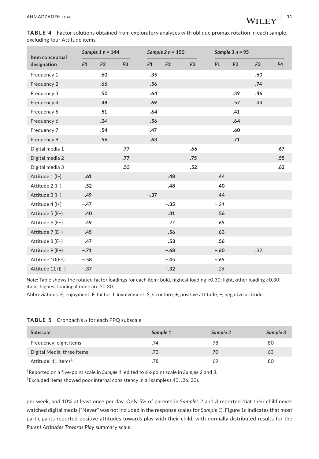| Item conceptual<br>designation | Sample $1 n = 144$ |     |                | Sample $2 n = 150$ |                |                | Sample $3 n = 95$ |                |                |                |
|--------------------------------|--------------------|-----|----------------|--------------------|----------------|----------------|-------------------|----------------|----------------|----------------|
|                                | F1                 | F2  | F <sub>3</sub> | F1                 | F <sub>2</sub> | F <sub>3</sub> | F1                | F <sub>2</sub> | F <sub>3</sub> | F <sub>4</sub> |
| Frequency 1                    |                    | .60 |                | .35                |                |                |                   |                | .60            |                |
| Frequency 2                    |                    | .66 |                | .56                |                |                |                   |                | .74            |                |
| Frequency 3                    |                    | .50 |                | .64                |                |                |                   | .39            | .46            |                |
| Frequency 4                    |                    | .48 |                | .69                |                |                |                   | .57            | .44            |                |
| Frequency 5                    |                    | .51 |                | .64                |                |                |                   | .41            |                |                |
| Frequency 6                    |                    | .24 |                | .56                |                |                |                   | .64            |                |                |
| Frequency 7                    |                    | .54 |                | .47                |                |                |                   | .60            |                |                |
| Frequency 8                    |                    | .56 |                | .63                |                |                |                   | .71            |                |                |
| Digital media 1                |                    |     | .77            |                    |                | .66            |                   |                |                | .67            |
| Digital media 2                |                    |     | .77            |                    |                | .75            |                   |                |                | .55            |
| Digital media 3                |                    |     | .53            |                    |                | .52            |                   |                |                | .62            |
| Attitude 1 (I-)                | .61                |     |                |                    | .48            |                | .44               |                |                |                |
| Attitude 2 (I-)                | .52                |     |                |                    | .48            |                | .40               |                |                |                |
| Attitude 3 (I-)                | .49                |     |                | $-.37$             |                |                | .44               |                |                |                |
| Attitude 4 (I+)                | $-.47$             |     |                |                    | $-.35$         |                | $-.24$            |                |                |                |
| Attitude $5(E-)$               | .40                |     |                |                    | .31            |                | .56               |                |                |                |
| Attitude 6 (E-)                | .49                |     |                |                    | .27            |                | .65               |                |                |                |
| Attitude 7 (E-)                | .45                |     |                |                    | .56            |                | .63               |                |                |                |
| Attitude 8 (E-)                | .47                |     |                |                    | .53            |                | .56               |                |                |                |
| Attitude 9 (E+)                | $-.71$             |     |                |                    | $-.68$         |                | $-.60$            |                | .32            |                |
| Attitude 10(E+)                | $-.58$             |     |                |                    | $-.45$         |                | $-.65$            |                |                |                |
| Attitude 11 (E+)               | $-.37$             |     |                |                    | $-.32$         |                | $-.26$            |                |                |                |

**TABLE 4** Factor solutions obtained from exploratory analyses with oblique promax rotation in each sample, excluding four Attitude items

*Note:* Table shows the rotated factor loadings for each item: bold, highest loading ≥0.30; light, other loading ≥0.30; italic, highest loading if none are ≥0.30.

Abbreviations: E, enjoyment; F, factor; I, involvement; S, structure; +, positive attitude; −, negative attitude.

|  | <b>TABLE 5</b> Cronbach's $\alpha$ for each PPQ subscale |  |  |  |
|--|----------------------------------------------------------|--|--|--|
|--|----------------------------------------------------------|--|--|--|

| <b>Subscale</b>                         | Sample 1 | Sample 2 | Sample 3 |
|-----------------------------------------|----------|----------|----------|
| Frequency: eight items                  | .74      | .78      | .80      |
| Digital Media: three items <sup>†</sup> | .73      | .70      | .63      |
| Attitude: 11 items <sup>‡</sup>         | .78      | .69      | .80      |

† Reported on a five-point scale in *Sample 1*, edited to six-point scale in *Sample 2* and *3*.

‡ Excluded items showed poor internal consistency in all samples (.43, .26, 20).

per week, and 10% at least once per day. Only 5% of parents in *Samples 2* and *3* reported that their child never watched digital media ("Never" was not included in the response scales for *Sample 1*). Figure 1c indicates that most participants reported positive attitudes towards play with their child, with normally distributed results for the *Parent Attitudes Towards Play* summary scale.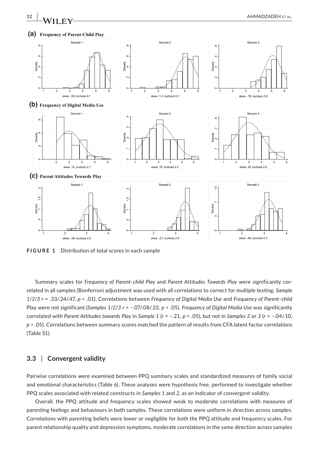



**FIGURE 1** Distribution of total scores in each sample

Sample 1

 $\epsilon$ 

 $\sim$ 

Density

Summary scales for *Frequency of Parent–child Play* and *Parent Attitudes Towards Play* were significantly correlated in all samples (Bonferroni adjustment was used with all correlations to correct for multiple testing; *Sample 1*/*2*/*3 r* = .33/.24/.47, *p* < .01). Correlations between *Frequency of Digital Media Use* and *Frequency of Parent–child* Play were not significant (*Samples 1*/*2*/*3 r* = −.07/.08/.23, *p* > .05). *Frequency of Digital Media Use* was significantly correlated with *Parent Attitudes towards Play* in *Sample 1* (*r* = −.21, *p* < .05), but not in *Samples 2* or *3* (*r* = −.04/.10, *p* > .05). Correlations between summary scores matched the pattern of results from CFA latent factor correlations (Table S1).

# **3.3** | **Convergent validity**

Pairwise correlations were examined between PPQ summary scales and standardized measures of family social and emotional characteristics (Table 6). These analyses were hypothesis free, performed to investigate whether PPQ scales associated with related constructs in *Samples 1* and *2*, as an indicator of convergent validity.

Overall, the PPQ attitude and frequency scales showed weak to moderate correlations with measures of parenting feelings and behaviours in both samples. These correlations were uniform in direction across samples. Correlations with parenting beliefs were lower or negligible for both the PPQ attitude and frequency scales. For parent relationship quality and depression symptoms, moderate correlations in the same direction across samples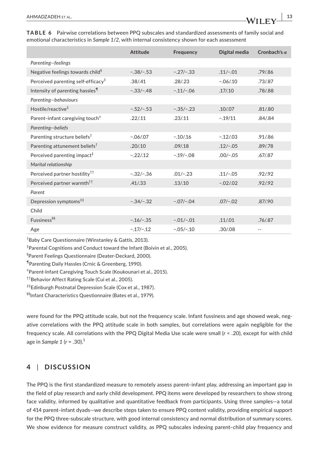|                                                | <b>Attitude</b> | Frequency   | Digital media | Cronbach's $\alpha$ |
|------------------------------------------------|-----------------|-------------|---------------|---------------------|
| Parenting-feelings                             |                 |             |               |                     |
| Negative feelings towards child <sup>§</sup>   | $-.38/-.53$     | $-.27/-.33$ | $.11/-.01$    | .79/.86             |
| Perceived parenting self-efficacy <sup>#</sup> | .38/.41         | .28/0.23    | $-.06/010$    | .73/.87             |
| Intensity of parenting hassles <sup>11</sup>   | $-.33/-.48$     | $-.11/-.06$ | .17/0.10      | .78/.88             |
| Parenting-behaviours                           |                 |             |               |                     |
| Hostile/reactive <sup>‡</sup>                  | $-.52/-.53$     | $-.35/-.23$ | .10/07        | .81/0.80            |
| Parent-infant caregiving touch <sup>+</sup>    | .22/.11         | .23/.11     | $-.19/11$     | .84/0.84            |
| Parenting-beliefs                              |                 |             |               |                     |
| Parenting structure beliefs <sup>†</sup>       | $-.06/07$       | $-.10/.16$  | $-.12/.03$    | .91/0.86            |
| Parenting attunement beliefs <sup>†</sup>      | .20/10          | .09/0.18    | $.12/-.05$    | .89/.78             |
| Perceived parenting impact <sup>#</sup>        | $-.22/.12$      | $-.19/-.08$ | $.00/-.05$    | .67/0.87            |
| Marital relationship                           |                 |             |               |                     |
| Perceived partner hostility <sup>††</sup>      | $-.32/-.36$     | $.01/-.23$  | $.11/-.05$    | .92/0.92            |
| Perceived partner warmth <sup>††</sup>         | .41 / .33       | .13/0.10    | $-.02/02$     | .92/0.92            |
| Parent                                         |                 |             |               |                     |
| Depression symptoms <sup>##</sup>              | $-.34/-.32$     | $-.07/-.04$ | $.07/-.02$    | .87/.90             |
| Child                                          |                 |             |               |                     |
| Fussiness <sup>§§</sup>                        | $-.16/-.35$     | $-.01/-.01$ | .11/.01       | .76/0.87            |
| Age                                            | $-.17/-.12$     | $-.05/-.10$ | .30/.08       |                     |

**TABLE 6** Pairwise correlations between PPQ subscales and standardized assessments of family social and emotional characteristics in *Sample 1*/*2*, with internal consistency shown for each assessment

† Baby Care Questionnaire (Winstanley & Gattis, 2013).

‡ Parental Cognitions and Conduct toward the Infant (Boivin et al., 2005).

§ Parent Feelings Questionnaire (Deater-Deckard, 2000).

¶Parenting Daily Hassles (Crnic & Greenberg, 1990).

± Parent-Infant Caregiving Touch Scale (Koukounari et al., 2015).

††Behavior Affect Rating Scale (Cui et al., 2005).

‡‡Edinburgh Postnatal Depression Scale (Cox et al., 1987).

§§Infant Characteristics Questionnaire (Bates et al., 1979).

were found for the PPQ attitude scale, but not the frequency scale. Infant fussiness and age showed weak, negative correlations with the PPQ attitude scale in both samples, but correlations were again negligible for the frequency scale. All correlations with the PPQ Digital Media Use scale were small (*r* < .20), except for with child age in *Sample 1* (*r* = .30).<sup>1</sup>

# **4** | **DISCUSSION**

The PPQ is the first standardized measure to remotely assess parent–infant play, addressing an important gap in the field of play research and early child development. PPQ items were developed by researchers to show strong face validity, informed by qualitative and quantitative feedback from participants. Using three samples—a total of 414 parent–infant dyads—we describe steps taken to ensure PPQ content validity, providing empirical support for the PPQ three-subscale structure, with good internal consistency and normal distribution of summary scores. We show evidence for measure construct validity, as PPQ subscales indexing parent-child play frequency and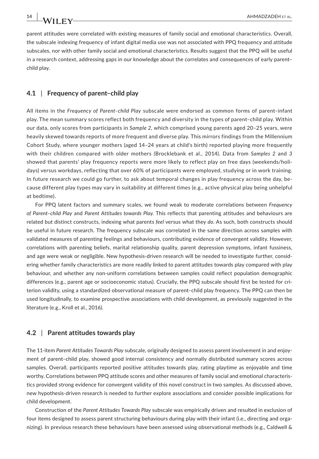parent attitudes were correlated with existing measures of family social and emotional characteristics. Overall, the subscale indexing frequency of infant digital media use was not associated with PPQ frequency and attitude subscales, nor with other family social and emotional characteristics. Results suggest that the PPQ will be useful in a research context, addressing gaps in our knowledge about the correlates and consequences of early parent– child play.

#### **4.1** | **Frequency of parent–child play**

All items in the *Frequency of Parent–child Play* subscale were endorsed as common forms of parent–infant play. The mean summary scores reflect both frequency and diversity in the types of parent–child play. Within our data, only scores from participants in *Sample 2*, which comprised young parents aged 20–25 years, were heavily skewed towards reports of more frequent and diverse play. This mirrors findings from the Millennium Cohort Study, where younger mothers (aged 14–24 years at child's birth) reported playing more frequently with their children compared with older mothers (Brocklebank et al., 2014). Data from *Samples 2* and *3* showed that parents' play frequency reports were more likely to reflect play on free days (weekends/holidays) versus workdays, reflecting that over 60% of participants were employed, studying or in work training. In future research we could go further, to ask about temporal changes in play frequency across the day, because different play types may vary in suitability at different times (e.g., active physical play being unhelpful at bedtime).

For PPQ latent factors and summary scales, we found weak to moderate correlations between *Frequency of Parent–child Play* and *Parent Attitudes towards Play.* This reflects that parenting attitudes and behaviours are related but distinct constructs, indexing what parents *feel* versus what they *do*. As such, both constructs should be useful in future research. The frequency subscale was correlated in the same direction across samples with validated measures of parenting feelings and behaviours, contributing evidence of convergent validity. However, correlations with parenting beliefs, marital relationship quality, parent depression symptoms, infant fussiness, and age were weak or negligible. New hypothesis-driven research will be needed to investigate further, considering whether family characteristics are more readily linked to parent attitudes towards play compared with play behaviour, and whether any non-uniform correlations between samples could reflect population demographic differences (e.g., parent age or socioeconomic status). Crucially, the PPQ subscale should first be tested for criterion validity, using a standardized observational measure of parent–child play frequency. The PPQ can then be used longitudinally, to examine prospective associations with child development, as previously suggested in the literature (e.g., Kroll et al., 2016).

# **4.2** | **Parent attitudes towards play**

The 11-item *Parent Attitudes Towards Play* subscale, originally designed to assess parent involvement in and enjoyment of parent–child play, showed good internal consistency and normally distributed summary scores across samples. Overall, participants reported positive attitudes towards play, rating playtime as enjoyable and time worthy. Correlations between PPQ attitude scores and other measures of family social and emotional characteristics provided strong evidence for convergent validity of this novel construct in two samples. As discussed above, new hypothesis-driven research is needed to further explore associations and consider possible implications for child development.

Construction of the *Parent Attitudes Towards Play* subscale was empirically driven and resulted in exclusion of four items designed to assess parent structuring behaviours during play with their infant (i.e., directing and organizing). In previous research these behaviours have been assessed using observational methods (e.g., Caldwell &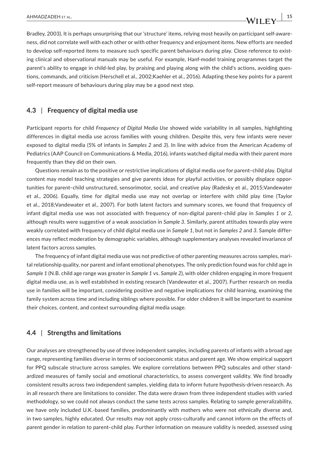Bradley, 2003). It is perhaps unsurprising that our 'structure' items, relying most heavily on participant self-awareness, did not correlate well with each other or with other frequency and enjoyment items. New efforts are needed to develop self-reported items to measure such specific parent behaviours during play. Close reference to existing clinical and observational manuals may be useful. For example, Hanf-model training programmes target the parent's ability to engage in child-led play, by praising and playing along with the child's actions, avoiding questions, commands, and criticism (Herschell et al., 2002;Kaehler et al., 2016). Adapting these key points for a parent self-report measure of behaviours during play may be a good next step.

# **4.3** | **Frequency of digital media use**

Participant reports for child *Frequency of Digital Media Use* showed wide variability in all samples, highlighting differences in digital media use across families with young children. Despite this, very few infants were never exposed to digital media (5% of infants in *Samples 2* and *3*). In line with advice from the American Academy of Pediatrics (AAP Council on Communications & Media, 2016), infants watched digital media with their parent more frequently than they did on their own.

Questions remain as to the positive or restrictive implications of digital media use for parent–child play. Digital content may model teaching strategies and give parents ideas for playful activities, or possibly displace opportunities for parent–child unstructured, sensorimotor, social, and creative play (Radesky et al., 2015;Vandewater et al., 2006). Equally, time for digital media use may not overlap or interfere with child play time (Taylor et al., 2018;Vandewater et al., 2007). For both latent factors and summary scores, we found that frequency of infant digital media use was not associated with frequency of non-digital parent–child play in *Samples 1* or *2*, although results were suggestive of a weak association in *Sample 3*. Similarly, parent attitudes towards play were weakly correlated with frequency of child digital media use in *Sample 1*, but not in *Samples 2* and *3*. Sample differences may reflect moderation by demographic variables, although supplementary analyses revealed invariance of latent factors across samples.

The frequency of infant digital media use was not predictive of other parenting measures across samples, marital relationship quality, nor parent and infant emotional phenotypes. The only prediction found was for child age in *Sample 1* (N.B. child age range was greater in *Sample 1* vs. *Sample 2*), with older children engaging in more frequent digital media use, as is well established in existing research (Vandewater et al., 2007). Further research on media use in families will be important, considering positive and negative implications for child learning, examining the family system across time and including siblings where possible. For older children it will be important to examine their choices, content, and context surrounding digital media usage.

# **4.4** | **Strengths and limitations**

Our analyses are strengthened by use of three independent samples, including parents of infants with a broad age range, representing families diverse in terms of socioeconomic status and parent age. We show empirical support for PPQ subscale structure across samples. We explore correlations between PPQ subscales and other standardized measures of family social and emotional characteristics, to assess convergent validity. We find broadly consistent results across two independent samples, yielding data to inform future hypothesis-driven research. As in all research there are limitations to consider. The data were drawn from three independent studies with varied methodology, so we could not always conduct the same tests across samples. Relating to sample generalizability, we have only included U.K.-based families, predominantly with mothers who were not ethnically diverse and, in two samples, highly educated. Our results may not apply cross-culturally and cannot inform on the effects of parent gender in relation to parent–child play. Further information on measure validity is needed, assessed using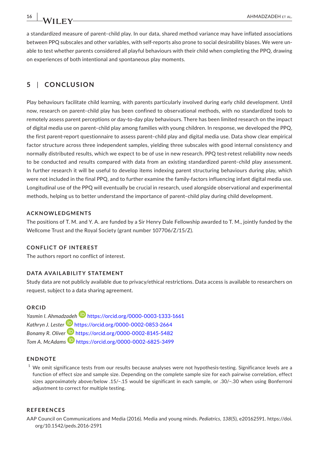a standardized measure of parent–child play. In our data, shared method variance may have inflated associations between PPQ subscales and other variables, with self-reports also prone to social desirability biases. We were unable to test whether parents considered all playful behaviours with their child when completing the PPQ, drawing on experiences of both intentional and spontaneous play moments.

# **5** | **CONCLUSION**

Play behaviours facilitate child learning, with parents particularly involved during early child development. Until now, research on parent–child play has been confined to observational methods, with no standardized tools to remotely assess parent perceptions or day-to-day play behaviours. There has been limited research on the impact of digital media use on parent–child play among families with young children. In response, we developed the PPQ, the first parent-report questionnaire to assess parent–child play and digital media use. Data show clear empirical factor structure across three independent samples, yielding three subscales with good internal consistency and normally distributed results, which we expect to be of use in new research. PPQ test-retest reliability now needs to be conducted and results compared with data from an existing standardized parent–child play assessment. In further research it will be useful to develop items indexing parent structuring behaviours during play, which were not included in the final PPQ, and to further examine the family-factors influencing infant digital media use. Longitudinal use of the PPQ will eventually be crucial in research, used alongside observational and experimental methods, helping us to better understand the importance of parent–child play during child development.

#### **ACKNOWLEDGMENTS**

The positions of T. M. and Y. A. are funded by a Sir Henry Dale Fellowship awarded to T. M., jointly funded by the Wellcome Trust and the Royal Society (grant number 107706/Z/15/Z).

#### **CONFLICT OF INTEREST**

The authors report no conflict of interest.

# **DATA AVAILABILITY STATEMENT**

Study data are not publicly available due to privacy/ethical restrictions. Data access is available to researchers on request, subject to a data sharing agreement.

#### **ORCID**

*Yasmin I. Ahmad[zade](https://orcid.org/0000-0002-0853-2664)[h](https://orcid.org/0000-0003-1333-1661)* <https://orcid.org/0000-0003-1333-1661> Kathryn J. Lester<sup>1</sup> <https://orcid.org/0000-0002-0853-2664> *Bonamy R. Oliver* <https://orcid.org/0000-0002-8145-5482> *Tom A. McAdams* <https://orcid.org/0000-0002-6825-3499>

#### **ENDNOTE**

 $1$  We omit significance tests from our results because analyses were not hypothesis-testing. Significance levels are a function of effect size and sample size. Depending on the complete sample size for each pairwise correlation, effect sizes approximately above/below .15/−.15 would be significant in each sample, or .30/−.30 when using Bonferroni adjustment to correct for multiple testing.

#### **REFERENCES**

AAP Council on Communications and Media (2016). Media and young minds. *Pediatrics*, *138*(5), e20162591. [https://doi.](https://doi.org/10.1542/peds.2016-2591) [org/10.1542/peds.2016-2591](https://doi.org/10.1542/peds.2016-2591)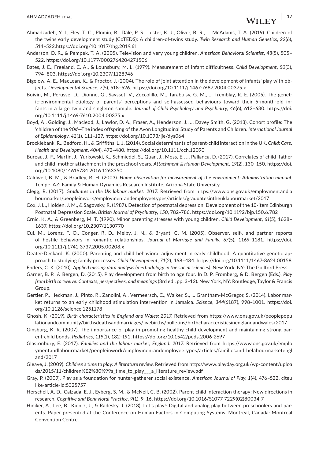- Ahmadzadeh, Y. I., Eley, T. C., Plomin, R., Dale, P. S., Lester, K. J., Oliver, B. R., … McAdams, T. A. (2019). Children of the twins early development study (CoTEDS): A children-of-twins study. *Twin Research and Human Genetics*, *22*(6), 514–522[.https://doi.org/10.1017/thg.2019.61](https://doi.org/10.1017/thg.2019.61)
- Anderson, D. R., & Pempek, T. A. (2005). Television and very young children. *American Behavioral Scientist*, *48*(5), 505– 522.<https://doi.org/10.1177/0002764204271506>
- Bates, J. E., Freeland, C. A., & Lounsbury, M. L. (1979). Measurement of infant difficultness. *Child Development*, *50*(3), 794–803.<https://doi.org/10.2307/1128946>
- Bigelow, A. E., MacLean, K., & Proctor, J. (2004). The role of joint attention in the development of infants' play with objects. *Developmental Science*, *7*(5), 518–526.<https://doi.org/10.1111/j.1467-7687.2004.00375.x>
- Boivin, M., Perusse, D., Dionne, G., Saysset, V., Zoccolillo, M., Tarabulsy, G. M., … Tremblay, R. E. (2005). The genetic-environmental etiology of parents' perceptions and self-assessed behaviours toward their 5-month-old infants in a large twin and singleton sample. *Journal of Child Psychology and Psychiatry*, *46*(6), 612–630. [https://doi.](https://doi.org/10.1111/j.1469-7610.2004.00375.x) [org/10.1111/j.1469-7610.2004.00375.x](https://doi.org/10.1111/j.1469-7610.2004.00375.x)
- Boyd, A., Golding, J., Macleod, J., Lawlor, D. A., Fraser, A., Henderson, J., … Davey Smith, G. (2013). Cohort profile: The 'children of the 90s'—The index offspring of the Avon Longitudinal Study of Parents and Children. *International Journal of Epidemiology*, *42*(1), 111–127.<https://doi.org/10.1093/ije/dys064>
- Brocklebank, R., Bedford, H., & Griffiths, L. J. (2014). Social determinants of parent-child interaction in the UK. *Child: Care, Health and Development*, *40*(4), 472–480.<https://doi.org/10.1111/cch.12090>
- Bureau, J.-F., Martin, J., Yurkowski, K., Schmiedel, S., Quan, J., Moss, E., … Pallanca, D. (2017). Correlates of child–father and child–mother attachment in the preschool years. *Attachment & Human Development*, *19*(2), 130–150. [https://doi.](https://doi.org/10.1080/14616734.2016.1263350) [org/10.1080/14616734.2016.1263350](https://doi.org/10.1080/14616734.2016.1263350)
- Caldwell, B. M., & Bradley, R. H. (2003). *Home observation for measurement of the environment: Administration manual*. Tempe, AZ: Family & Human Dynamics Research Institute, Arizona State University.
- Clegg, R. (2017). *Graduates in the UK labour market: 2017*. Retrieved from [https://www.ons.gov.uk/employmentandla](https://www.ons.gov.uk/employmentandlabourmarket/peopleinwork/employmentandemployeetypes/articles/graduatesintheuklabourmarket/2017) [bourmarket/peopleinwork/employmentandemployeetypes/articles/graduatesintheuklabourmarket/2017](https://www.ons.gov.uk/employmentandlabourmarket/peopleinwork/employmentandemployeetypes/articles/graduatesintheuklabourmarket/2017)
- Cox, J. L., Holden, J. M., & Sagovsky, R. (1987). Detection of postnatal depression. Development of the 10-item Edinburgh Postnatal Depression Scale. *British Journal of Psychiatry*, *150*, 782–786.<https://doi.org/10.1192/bjp.150.6.782>
- Crnic, K. A., & Greenberg, M. T. (1990). Minor parenting stresses with young children. *Child Development*, *61*(5), 1628– 1637.<https://doi.org/10.2307/1130770>
- Cui, M., Lorenz, F. O., Conger, R. D., Melby, J. N., & Bryant, C. M. (2005). Observer, self-, and partner reports of hostile behaviors in romantic relationships. *Journal of Marriage and Family*, *67*(5), 1169–1181. [https://doi.](https://doi.org/10.1111/j.1741-3737.2005.00208.x) [org/10.1111/j.1741-3737.2005.00208.x](https://doi.org/10.1111/j.1741-3737.2005.00208.x)
- Deater-Deckard, K. (2000). Parenting and child behavioral adjustment in early childhood: A quantitative genetic approach to studying family processes. *Child Development*, *71*(2), 468–484. <https://doi.org/10.1111/1467-8624.00158>
- Enders, C. K. (2010). *Applied missing data analysis (methodology in the social sciences)*. New York, NY: The Guilford Press.
- Garner, B. P., & Bergen, D. (2015). Play development from birth to age four. In D. P. Fromberg, & D. Bergen (Eds.), *Play from birth to twelve: Contexts, perspectives, and meanings* (3rd ed., pp. 3–12). New York, NY: Routledge, Taylor & Francis Group.
- Gertler, P., Heckman, J., Pinto, R., Zanolini, A., Vermeersch, C., Walker, S., … Grantham-McGregor, S. (2014). Labor market returns to an early childhood stimulation intervention in Jamaica. *Science*, *344*(6187), 998–1001. [https://doi.](https://doi.org/10.1126/science.1251178) [org/10.1126/science.1251178](https://doi.org/10.1126/science.1251178)
- Ghosh, K. (2019). *Birth characteristics in England and Wales: 2017*. Retrieved from [https://www.ons.gov.uk/peoplepopu](https://www.ons.gov.uk/peoplepopulationandcommunity/birthsdeathsandmarriages/livebirths/bulletins/birthcharacteristicsinenglandandwales/2017) [lationandcommunity/birthsdeathsandmarriages/livebirths/bulletins/birthcharacteristicsinenglandandwales/2017](https://www.ons.gov.uk/peoplepopulationandcommunity/birthsdeathsandmarriages/livebirths/bulletins/birthcharacteristicsinenglandandwales/2017)
- Ginsburg, K. R. (2007). The importance of play in promoting healthy child development and maintaining strong parent-child bonds. *Pediatrics*, *119*(1), 182–191.<https://doi.org/10.1542/peds.2006-2697>
- Glastonbury, E. (2017). *Families and the labour market, England: 2017*. Retrieved from [https://www.ons.gov.uk/emplo](https://www.ons.gov.uk/employmentandlabourmarket/peopleinwork/employmentandemployeetypes/articles/familiesandthelabourmarketengland/2017) [ymentandlabourmarket/peopleinwork/employmentandemployeetypes/articles/familiesandthelabourmarketengl](https://www.ons.gov.uk/employmentandlabourmarket/peopleinwork/employmentandemployeetypes/articles/familiesandthelabourmarketengland/2017) [and/2017](https://www.ons.gov.uk/employmentandlabourmarket/peopleinwork/employmentandemployeetypes/articles/familiesandthelabourmarketengland/2017)
- Gleave, J. (2009). *Children's time to play: A literature review*. Retrieved from [http://www.playday.org.uk/wp-content/uploa](http://www.playday.org.uk/wp-content/uploads/2015/11/children%E2%80%99s_time_to_play___a_literature_review.pdf) [ds/2015/11/children%E2%80%99s\\_time\\_to\\_play\\_\\_\\_a\\_literature\\_review.pdf](http://www.playday.org.uk/wp-content/uploads/2015/11/children%E2%80%99s_time_to_play___a_literature_review.pdf)
- Gray, P. (2009). Play as a foundation for hunter-gatherer social existence. *American Journal of Play*, *1*(4), 476–522. [citeu](citeulike-article-id:5325757) [like-article-id:5325757](citeulike-article-id:5325757)
- Herschell, A. D., Calzada, E. J., Eyberg, S. M., & McNeil, C. B. (2002). Parent-child interaction therapy: New directions in research. *Cognitive and Behavioral Practice*, *9*(1), 9–16. [https://doi.org/10.1016/S1077-7229\(02\)80034-7](https://doi.org/10.1016/S1077-7229(02)80034-7)
- Hiniker, A., Lee, B., Kientz, J., & Radesky, J. (2018). Let's play!: Digital and analog play between preschoolers and parents. Paper presented at the Conference on Human Factors in Computing Systems. Montreal, Canada: Montreal Convention Centre.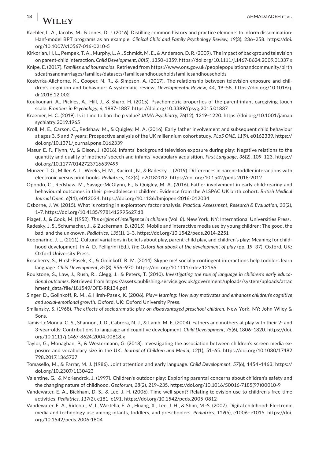- Kaehler, L. A., Jacobs, M., & Jones, D. J. (2016). Distilling common history and practice elements to inform dissemination: Hanf-model BPT programs as an example. *Clinical Child and Family Psychology Review*, *19*(3), 236–258. [https://doi.](https://doi.org/10.1007/s10567-016-0210-5) [org/10.1007/s10567-016-0210-5](https://doi.org/10.1007/s10567-016-0210-5)
- Kirkorian, H. L., Pempek, T. A., Murphy, L. A., Schmidt, M. E., & Anderson, D. R. (2009). The impact of background television on parent-child interaction. *Child Development*, *80*(5), 1350–1359.<https://doi.org/10.1111/j.1467-8624.2009.01337.x>
- Knipe, E. (2017). *Families and households*. Retrieved from [https://www.ons.gov.uk/peoplepopulationandcommunity/birth](https://www.ons.gov.uk/peoplepopulationandcommunity/birthsdeathsandmarriages/families/datasets/familiesandhouseholdsfamiliesandhouseholds) [sdeathsandmarriages/families/datasets/familiesandhouseholdsfamiliesandhouseholds](https://www.ons.gov.uk/peoplepopulationandcommunity/birthsdeathsandmarriages/families/datasets/familiesandhouseholdsfamiliesandhouseholds)
- Kostyrka-Allchorne, K., Cooper, N. R., & Simpson, A. (2017). The relationship between television exposure and children's cognition and behaviour: A systematic review. *Developmental Review*, *44*, 19–58. [https://doi.org/10.1016/j.](https://doi.org/10.1016/j.dr.2016.12.002) [dr.2016.12.002](https://doi.org/10.1016/j.dr.2016.12.002)
- Koukounari, A., Pickles, A., Hill, J., & Sharp, H. (2015). Psychometric properties of the parent-infant caregiving touch scale. *Frontiers in Psychology*, *6*, 1887–1887.<https://doi.org/10.3389/fpsyg.2015.01887>
- Kraemer, H. C. (2019). Is it time to ban the p value? *JAMA Psychiatry*, *76*(12), 1219–1220. [https://doi.org/10.1001/jamap](https://doi.org/10.1001/jamapsychiatry.2019.1965) [sychiatry.2019.1965](https://doi.org/10.1001/jamapsychiatry.2019.1965)
- Kroll, M. E., Carson, C., Redshaw, M., & Quigley, M. A. (2016). Early father involvement and subsequent child behaviour at ages 3, 5 and 7 years: Prospective analysis of the UK millennium cohort study. *PLoS ONE*, *11*(9), e0162339. [https://](https://doi.org/10.1371/journal.pone.0162339) [doi.org/10.1371/journal.pone.0162339](https://doi.org/10.1371/journal.pone.0162339)
- Masur, E. F., Flynn, V., & Olson, J. (2016). Infants' background television exposure during play: Negative relations to the quantity and quality of mothers' speech and infants' vocabulary acquisition. *First Language*, *36*(2), 109–123. [https://](https://doi.org/10.1177/0142723716639499) [doi.org/10.1177/0142723716639499](https://doi.org/10.1177/0142723716639499)
- Munzer, T. G., Miller, A. L., Weeks, H. M., Kaciroti, N., & Radesky, J. (2019). Differences in parent-toddler interactions with electronic versus print books. *Pediatrics*, *143*(4), e20182012.<https://doi.org/10.1542/peds.2018-2012>
- Opondo, C., Redshaw, M., Savage-McGlynn, E., & Quigley, M. A. (2016). Father involvement in early child-rearing and behavioural outcomes in their pre-adolescent children: Evidence from the ALSPAC UK birth cohort. *British Medical Journal Open*, *6*(11), e012034.<https://doi.org/10.1136/bmjopen-2016-012034>
- Osborne, J. W. (2015). What is rotating in exploratory factor analysis. *Practical Assessment, Research & Evaluation*, *20*(2), 1–7. <https://doi.org/10.4135/9781412995627.d8>
- Piaget, J., & Cook, M. (1952). *The origins of intelligence in children* (Vol. *8*). New York, NY: International Universities Press.
- Radesky, J. S., Schumacher, J., & Zuckerman, B. (2015). Mobile and interactive media use by young children: The good, the bad, and the unknown. *Pediatrics*, *135*(1), 1–3. <https://doi.org/10.1542/peds.2014-2251>
- Roopnarine, J. L. (2011). Cultural variations in beliefs about play, parent-child play, and children's play: Meaning for childhood development. In A. D. Pelligrini (Ed.), *The Oxford handbook of the development of play* (pp. 19–37). Oxford, UK: Oxford University Press.
- Roseberry, S., Hirsh-Pasek, K., & Golinkoff, R. M. (2014). Skype me! socially contingent interactions help toddlers learn language. *Child Development*, *85*(3), 956–970. <https://doi.org/10.1111/cdev.12166>
- Roulstone, S., Law, J., Rush, R., Clegg, J., & Peters, T. (2010). *Investigating the role of language in children's early educational outcomes*. Retrieved from [https://assets.publishing.service.gov.uk/government/uploads/system/uploads/attac](https://assets.publishing.service.gov.uk/government/uploads/system/uploads/attachment_data/file/181549/DFE-RR134.pdf) [hment\\_data/file/181549/DFE-RR134.pdf](https://assets.publishing.service.gov.uk/government/uploads/system/uploads/attachment_data/file/181549/DFE-RR134.pdf)
- Singer, D., Golinkoff, R. M., & Hirsh-Pasek, K. (2006). *Play= learning: How play motivates and enhances children's cognitive and social-emotional growth*. Oxford, UK: Oxford University Press.
- Smilansky, S. (1968). *The effects of sociodramatic play on disadvantaged preschool children*. New York, NY: John Wiley & Sons.
- Tamis-LeMonda, C. S., Shannon, J. D., Cabrera, N. J., & Lamb, M. E. (2004). Fathers and mothers at play with their 2- and 3-year-olds: Contributions to language and cognitive development. *Child Development*, *75*(6), 1806–1820. [https://doi.](https://doi.org/10.1111/j.1467-8624.2004.00818.x) [org/10.1111/j.1467-8624.2004.00818.x](https://doi.org/10.1111/j.1467-8624.2004.00818.x)
- Taylor, G., Monaghan, P., & Westermann, G. (2018). Investigating the association between children's screen media exposure and vocabulary size in the UK. *Journal of Children and Media*, *12*(1), 51–65. [https://doi.org/10.1080/17482](https://doi.org/10.1080/17482798.2017.1365737) [798.2017.1365737](https://doi.org/10.1080/17482798.2017.1365737)
- Tomasello, M., & Farrar, M. J. (1986). Joint attention and early language. *Child Development*, *57*(6), 1454–1463. [https://](https://doi.org/10.2307/1130423) [doi.org/10.2307/1130423](https://doi.org/10.2307/1130423)
- Valentine, G., & McKendrck, J. (1997). Children's outdoor play: Exploring parental concerns about children's safety and the changing nature of childhood. *Geoforum*, *28*(2), 219–235. [https://doi.org/10.1016/S0016-7185\(97\)00010-9](https://doi.org/10.1016/S0016-7185(97)00010-9)
- Vandewater, E. A., Bickham, D. S., & Lee, J. H. (2006). Time well spent? Relating television use to children's free-time activities. *Pediatrics*, *117*(2), e181–e191. <https://doi.org/10.1542/peds.2005-0812>
- Vandewater, E. A., Rideout, V. J., Wartella, E. A., Huang, X., Lee, J. H., & Shim, M.-S. (2007). Digital childhood: Electronic media and technology use among infants, toddlers, and preschoolers. *Pediatrics*, *119*(5), e1006–e1015. [https://doi.](https://doi.org/10.1542/peds.2006-1804) [org/10.1542/peds.2006-1804](https://doi.org/10.1542/peds.2006-1804)